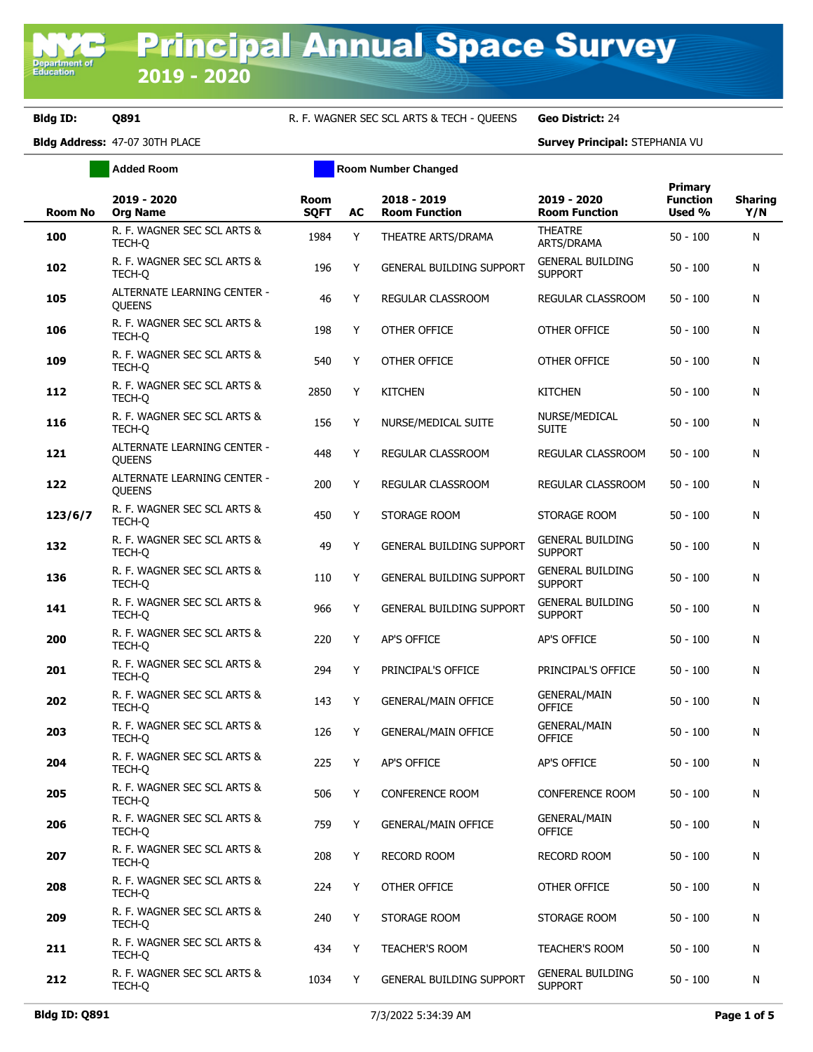Department of<br>Education

**Bldg ID: Q891** R. F. WAGNER SEC SCL ARTS & TECH - QUEENS **Geo District:** 24

## **Bldg Address:** 47-07 30TH PLACE **Survey Principal:** STEPHANIA VU

| <b>Survey Principal: STEP</b> |  |
|-------------------------------|--|

|                | <b>Added Room</b>                                   | <b>Room Number Changed</b> |    |                                     |                                           |                                             |                       |
|----------------|-----------------------------------------------------|----------------------------|----|-------------------------------------|-------------------------------------------|---------------------------------------------|-----------------------|
| <b>Room No</b> | 2019 - 2020<br><b>Org Name</b>                      | <b>Room</b><br><b>SQFT</b> | AC | 2018 - 2019<br><b>Room Function</b> | 2019 - 2020<br><b>Room Function</b>       | <b>Primary</b><br><b>Function</b><br>Used % | <b>Sharing</b><br>Y/N |
| 100            | R. F. WAGNER SEC SCL ARTS &<br>TECH-Q               | 1984                       | Y  | THEATRE ARTS/DRAMA                  | <b>THEATRE</b><br>ARTS/DRAMA              | $50 - 100$                                  | N                     |
| 102            | R. F. WAGNER SEC SCL ARTS &<br>TECH-Q               | 196                        | Y  | <b>GENERAL BUILDING SUPPORT</b>     | <b>GENERAL BUILDING</b><br><b>SUPPORT</b> | $50 - 100$                                  | N                     |
| 105            | ALTERNATE LEARNING CENTER -<br><b>OUEENS</b>        | 46                         | Y  | <b>REGULAR CLASSROOM</b>            | REGULAR CLASSROOM                         | $50 - 100$                                  | N                     |
| 106            | R. F. WAGNER SEC SCL ARTS &<br>TECH-Q               | 198                        | Y  | OTHER OFFICE                        | OTHER OFFICE                              | 50 - 100                                    | N                     |
| 109            | R. F. WAGNER SEC SCL ARTS &<br>TECH-Q               | 540                        | Y  | OTHER OFFICE                        | OTHER OFFICE                              | 50 - 100                                    | N                     |
| 112            | R. F. WAGNER SEC SCL ARTS &<br>TECH-Q               | 2850                       | Y  | <b>KITCHEN</b>                      | <b>KITCHEN</b>                            | 50 - 100                                    | N                     |
| 116            | R. F. WAGNER SEC SCL ARTS &<br>TECH-Q               | 156                        | Y  | NURSE/MEDICAL SUITE                 | NURSE/MEDICAL<br><b>SUITE</b>             | $50 - 100$                                  | N                     |
| 121            | <b>ALTERNATE LEARNING CENTER -</b><br><b>QUEENS</b> | 448                        | Y  | REGULAR CLASSROOM                   | REGULAR CLASSROOM                         | $50 - 100$                                  | N                     |
| 122            | ALTERNATE LEARNING CENTER -<br>QUEENS               | 200                        | Y  | <b>REGULAR CLASSROOM</b>            | REGULAR CLASSROOM                         | 50 - 100                                    | N                     |
| 123/6/7        | R. F. WAGNER SEC SCL ARTS &<br>TECH-O               | 450                        | Y  | STORAGE ROOM                        | STORAGE ROOM                              | $50 - 100$                                  | N                     |
| 132            | R. F. WAGNER SEC SCL ARTS &<br>TECH-Q               | 49                         | Y  | <b>GENERAL BUILDING SUPPORT</b>     | <b>GENERAL BUILDING</b><br><b>SUPPORT</b> | $50 - 100$                                  | N                     |
| 136            | R. F. WAGNER SEC SCL ARTS &<br>TECH-O               | 110                        | Y  | <b>GENERAL BUILDING SUPPORT</b>     | <b>GENERAL BUILDING</b><br><b>SUPPORT</b> | 50 - 100                                    | N                     |
| 141            | R. F. WAGNER SEC SCL ARTS &<br>TECH-O               | 966                        | Y  | <b>GENERAL BUILDING SUPPORT</b>     | <b>GENERAL BUILDING</b><br><b>SUPPORT</b> | $50 - 100$                                  | N                     |
| 200            | R. F. WAGNER SEC SCL ARTS &<br>TECH-O               | 220                        | Y  | AP'S OFFICE                         | AP'S OFFICE                               | 50 - 100                                    | N                     |
| 201            | R. F. WAGNER SEC SCL ARTS &<br>TECH-Q               | 294                        | Y  | PRINCIPAL'S OFFICE                  | PRINCIPAL'S OFFICE                        | $50 - 100$                                  | N                     |
| 202            | R. F. WAGNER SEC SCL ARTS &<br>TECH-Q               | 143                        | Y  | <b>GENERAL/MAIN OFFICE</b>          | <b>GENERAL/MAIN</b><br><b>OFFICE</b>      | 50 - 100                                    | N                     |
| 203            | R. F. WAGNER SEC SCL ARTS &<br>TECH-Q               | 126                        | Y  | <b>GENERAL/MAIN OFFICE</b>          | <b>GENERAL/MAIN</b><br><b>OFFICE</b>      | $50 - 100$                                  | N                     |
| 204            | R. F. WAGNER SEC SCL ARTS &<br>TECH-Q               | 225                        | Y  | AP'S OFFICE                         | <b>AP'S OFFICE</b>                        | $50 - 100$                                  | N                     |
| 205            | R. F. WAGNER SEC SCL ARTS &<br>TECH-O               | 506                        | Y  | CONFERENCE ROOM                     | <b>CONFERENCE ROOM</b>                    | $50 - 100$                                  | N                     |
| 206            | R. F. WAGNER SEC SCL ARTS &<br>TECH-Q               | 759                        | Y  | <b>GENERAL/MAIN OFFICE</b>          | <b>GENERAL/MAIN</b><br><b>OFFICE</b>      | $50 - 100$                                  | N                     |
| 207            | R. F. WAGNER SEC SCL ARTS &<br>TECH-Q               | 208                        | Y  | RECORD ROOM                         | RECORD ROOM                               | 50 - 100                                    | N                     |
| 208            | R. F. WAGNER SEC SCL ARTS &<br>TECH-Q               | 224                        | Y  | OTHER OFFICE                        | OTHER OFFICE                              | 50 - 100                                    | N                     |
| 209            | R. F. WAGNER SEC SCL ARTS &<br>TECH-Q               | 240                        | Y  | STORAGE ROOM                        | STORAGE ROOM                              | 50 - 100                                    | N                     |
| 211            | R. F. WAGNER SEC SCL ARTS &<br>TECH-Q               | 434                        | Y  | TEACHER'S ROOM                      | <b>TEACHER'S ROOM</b>                     | 50 - 100                                    | N                     |
| 212            | R. F. WAGNER SEC SCL ARTS &<br>TECH-Q               | 1034                       | Y  | <b>GENERAL BUILDING SUPPORT</b>     | <b>GENERAL BUILDING</b><br><b>SUPPORT</b> | 50 - 100                                    | N                     |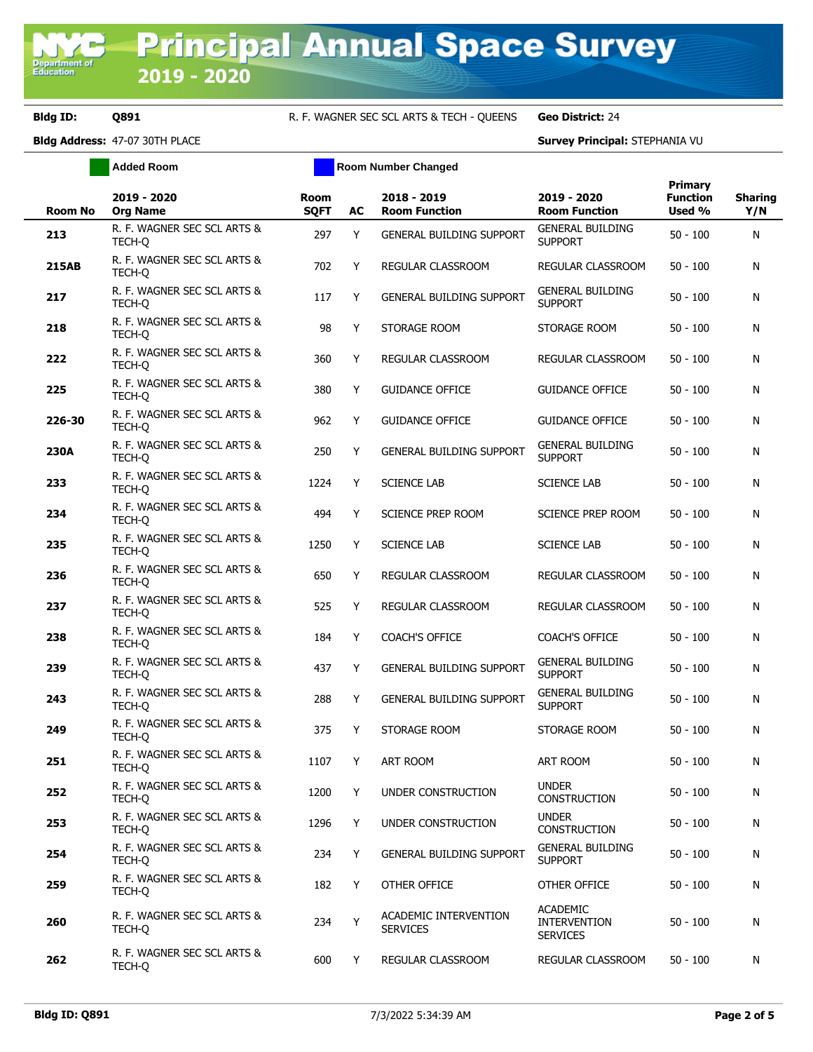**Bldg ID: 0891 R. F. WAGNER SEC SCL ARTS & TECH - QUEENS Geo District:** 24

**Bldg Address:** 47-07 30TH PLACE **Survey Principal:** STEPHANIA VU

|              | <b>Added Room</b>                     | <b>Room Number Changed</b> |    |                                          |                                                           |                                      |                       |
|--------------|---------------------------------------|----------------------------|----|------------------------------------------|-----------------------------------------------------------|--------------------------------------|-----------------------|
| Room No      | 2019 - 2020<br><b>Org Name</b>        | <b>Room</b><br><b>SQFT</b> | AC | 2018 - 2019<br><b>Room Function</b>      | 2019 - 2020<br><b>Room Function</b>                       | Primary<br><b>Function</b><br>Used % | <b>Sharing</b><br>Y/N |
| 213          | R. F. WAGNER SEC SCL ARTS &<br>TECH-Q | 297                        | Y  | <b>GENERAL BUILDING SUPPORT</b>          | <b>GENERAL BUILDING</b><br><b>SUPPORT</b>                 | $50 - 100$                           | N                     |
| <b>215AB</b> | R. F. WAGNER SEC SCL ARTS &<br>TECH-Q | 702                        | Y  | REGULAR CLASSROOM                        | REGULAR CLASSROOM                                         | $50 - 100$                           | N                     |
| 217          | R. F. WAGNER SEC SCL ARTS &<br>TECH-O | 117                        | Y  | <b>GENERAL BUILDING SUPPORT</b>          | <b>GENERAL BUILDING</b><br><b>SUPPORT</b>                 | $50 - 100$                           | N                     |
| 218          | R. F. WAGNER SEC SCL ARTS &<br>TECH-Q | 98                         | Y  | STORAGE ROOM                             | STORAGE ROOM                                              | $50 - 100$                           | N                     |
| 222          | R. F. WAGNER SEC SCL ARTS &<br>TECH-Q | 360                        | Y  | REGULAR CLASSROOM                        | REGULAR CLASSROOM                                         | $50 - 100$                           | N                     |
| 225          | R. F. WAGNER SEC SCL ARTS &<br>TECH-Q | 380                        | Y  | <b>GUIDANCE OFFICE</b>                   | <b>GUIDANCE OFFICE</b>                                    | $50 - 100$                           | N                     |
| 226-30       | R. F. WAGNER SEC SCL ARTS &<br>TECH-O | 962                        | Y  | <b>GUIDANCE OFFICE</b>                   | <b>GUIDANCE OFFICE</b>                                    | $50 - 100$                           | N                     |
| 230A         | R. F. WAGNER SEC SCL ARTS &<br>TECH-O | 250                        | Y  | <b>GENERAL BUILDING SUPPORT</b>          | <b>GENERAL BUILDING</b><br><b>SUPPORT</b>                 | $50 - 100$                           | N                     |
| 233          | R. F. WAGNER SEC SCL ARTS &<br>TECH-Q | 1224                       | Y  | <b>SCIENCE LAB</b>                       | <b>SCIENCE LAB</b>                                        | $50 - 100$                           | N                     |
| 234          | R. F. WAGNER SEC SCL ARTS &<br>TECH-O | 494                        | Y  | SCIENCE PREP ROOM                        | <b>SCIENCE PREP ROOM</b>                                  | $50 - 100$                           | N                     |
| 235          | R. F. WAGNER SEC SCL ARTS &<br>TECH-Q | 1250                       | Y  | <b>SCIENCE LAB</b>                       | <b>SCIENCE LAB</b>                                        | $50 - 100$                           | N                     |
| 236          | R. F. WAGNER SEC SCL ARTS &<br>TECH-Q | 650                        | Y  | REGULAR CLASSROOM                        | REGULAR CLASSROOM                                         | $50 - 100$                           | N                     |
| 237          | R. F. WAGNER SEC SCL ARTS &<br>TECH-O | 525                        | Y  | REGULAR CLASSROOM                        | REGULAR CLASSROOM                                         | $50 - 100$                           | N                     |
| 238          | R. F. WAGNER SEC SCL ARTS &<br>TECH-Q | 184                        | Y  | <b>COACH'S OFFICE</b>                    | <b>COACH'S OFFICE</b>                                     | $50 - 100$                           | N                     |
| 239          | R. F. WAGNER SEC SCL ARTS &<br>TECH-Q | 437                        | Y  | <b>GENERAL BUILDING SUPPORT</b>          | <b>GENERAL BUILDING</b><br><b>SUPPORT</b>                 | $50 - 100$                           | N                     |
| 243          | R. F. WAGNER SEC SCL ARTS &<br>TECH-Q | 288                        | Y  | <b>GENERAL BUILDING SUPPORT</b>          | <b>GENERAL BUILDING</b><br><b>SUPPORT</b>                 | $50 - 100$                           | N                     |
| 249          | R. F. WAGNER SEC SCL ARTS &<br>TECH-Q | 375                        | Y  | STORAGE ROOM                             | STORAGE ROOM                                              | $50 - 100$                           | N                     |
| 251          | R. F. WAGNER SEC SCL ARTS &<br>TECH-Q | 1107                       | Y  | ART ROOM                                 | ART ROOM                                                  | $50 - 100$                           | N                     |
| 252          | R. F. WAGNER SEC SCL ARTS &<br>TECH-O | 1200                       | Y  | UNDER CONSTRUCTION                       | <b>UNDER</b><br>CONSTRUCTION                              | $50 - 100$                           | N                     |
| 253          | R. F. WAGNER SEC SCL ARTS &<br>TECH-Q | 1296                       | Y  | UNDER CONSTRUCTION                       | <b>UNDER</b><br><b>CONSTRUCTION</b>                       | $50 - 100$                           | N                     |
| 254          | R. F. WAGNER SEC SCL ARTS &<br>TECH-O | 234                        | Y  | <b>GENERAL BUILDING SUPPORT</b>          | <b>GENERAL BUILDING</b><br><b>SUPPORT</b>                 | $50 - 100$                           | N                     |
| 259          | R. F. WAGNER SEC SCL ARTS &<br>TECH-Q | 182                        | Y  | OTHER OFFICE                             | OTHER OFFICE                                              | $50 - 100$                           | N                     |
| 260          | R. F. WAGNER SEC SCL ARTS &<br>TECH-Q | 234                        | Y  | ACADEMIC INTERVENTION<br><b>SERVICES</b> | <b>ACADEMIC</b><br><b>INTERVENTION</b><br><b>SERVICES</b> | $50 - 100$                           | N                     |
| 262          | R. F. WAGNER SEC SCL ARTS &<br>TECH-Q | 600                        | Y  | REGULAR CLASSROOM                        | REGULAR CLASSROOM                                         | $50 - 100$                           | N                     |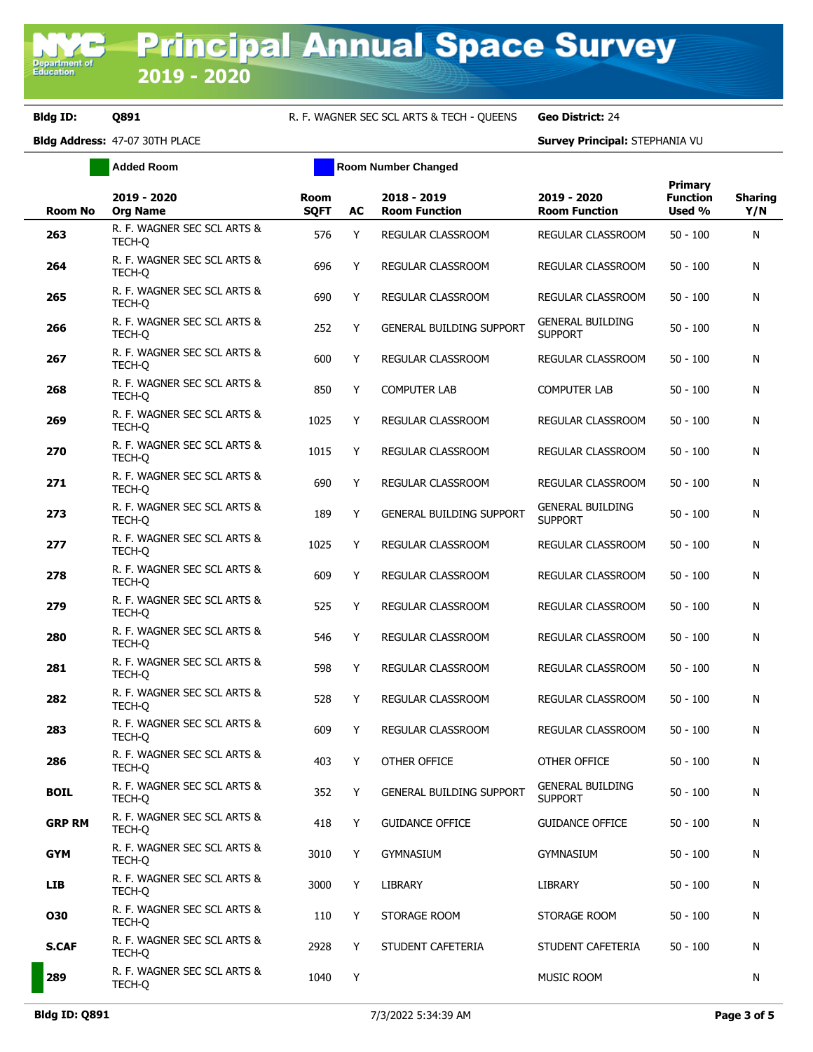**Bldg ID: 0891 R. F. WAGNER SEC SCL ARTS & TECH - QUEENS Geo District:** 24

**Bldg Address:** 47-07 30TH PLACE **Survey Principal:** STEPHANIA VU

|                | <b>Added Room</b>                     | <b>Room Number Changed</b> |    |                                     |                                           |                                      |                       |
|----------------|---------------------------------------|----------------------------|----|-------------------------------------|-------------------------------------------|--------------------------------------|-----------------------|
| <b>Room No</b> | 2019 - 2020<br><b>Org Name</b>        | <b>Room</b><br><b>SQFT</b> | AC | 2018 - 2019<br><b>Room Function</b> | 2019 - 2020<br><b>Room Function</b>       | Primary<br><b>Function</b><br>Used % | <b>Sharing</b><br>Y/N |
| 263            | R. F. WAGNER SEC SCL ARTS &<br>TECH-Q | 576                        | Y  | REGULAR CLASSROOM                   | <b>REGULAR CLASSROOM</b>                  | $50 - 100$                           | N                     |
| 264            | R. F. WAGNER SEC SCL ARTS &<br>TECH-Q | 696                        | Y  | REGULAR CLASSROOM                   | REGULAR CLASSROOM                         | $50 - 100$                           | N                     |
| 265            | R. F. WAGNER SEC SCL ARTS &<br>TECH-O | 690                        | Y  | REGULAR CLASSROOM                   | REGULAR CLASSROOM                         | $50 - 100$                           | N                     |
| 266            | R. F. WAGNER SEC SCL ARTS &<br>TECH-Q | 252                        | Y  | <b>GENERAL BUILDING SUPPORT</b>     | <b>GENERAL BUILDING</b><br><b>SUPPORT</b> | $50 - 100$                           | N                     |
| 267            | R. F. WAGNER SEC SCL ARTS &<br>TECH-Q | 600                        | Y  | REGULAR CLASSROOM                   | REGULAR CLASSROOM                         | $50 - 100$                           | N                     |
| 268            | R. F. WAGNER SEC SCL ARTS &<br>TECH-Q | 850                        | Y  | <b>COMPUTER LAB</b>                 | <b>COMPUTER LAB</b>                       | $50 - 100$                           | N                     |
| 269            | R. F. WAGNER SEC SCL ARTS &<br>TECH-Q | 1025                       | Y  | <b>REGULAR CLASSROOM</b>            | <b>REGULAR CLASSROOM</b>                  | $50 - 100$                           | N                     |
| 270            | R. F. WAGNER SEC SCL ARTS &<br>TECH-Q | 1015                       | Y  | REGULAR CLASSROOM                   | REGULAR CLASSROOM                         | $50 - 100$                           | N                     |
| 271            | R. F. WAGNER SEC SCL ARTS &<br>TECH-Q | 690                        | Y  | REGULAR CLASSROOM                   | REGULAR CLASSROOM                         | $50 - 100$                           | N                     |
| 273            | R. F. WAGNER SEC SCL ARTS &<br>TECH-Q | 189                        | Y  | <b>GENERAL BUILDING SUPPORT</b>     | <b>GENERAL BUILDING</b><br><b>SUPPORT</b> | $50 - 100$                           | N                     |
| 277            | R. F. WAGNER SEC SCL ARTS &<br>TECH-O | 1025                       | Y  | REGULAR CLASSROOM                   | REGULAR CLASSROOM                         | $50 - 100$                           | N                     |
| 278            | R. F. WAGNER SEC SCL ARTS &<br>TECH-O | 609                        | Y  | REGULAR CLASSROOM                   | REGULAR CLASSROOM                         | $50 - 100$                           | N                     |
| 279            | R. F. WAGNER SEC SCL ARTS &<br>TECH-Q | 525                        | Y  | REGULAR CLASSROOM                   | REGULAR CLASSROOM                         | $50 - 100$                           | N                     |
| 280            | R. F. WAGNER SEC SCL ARTS &<br>TECH-Q | 546                        | Y  | REGULAR CLASSROOM                   | REGULAR CLASSROOM                         | $50 - 100$                           | N                     |
| 281            | R. F. WAGNER SEC SCL ARTS &<br>TECH-Q | 598                        | Y  | REGULAR CLASSROOM                   | REGULAR CLASSROOM                         | $50 - 100$                           | N                     |
| 282            | R. F. WAGNER SEC SCL ARTS &<br>TECH-Q | 528                        | Y  | REGULAR CLASSROOM                   | REGULAR CLASSROOM                         | $50 - 100$                           | N                     |
| 283            | R. F. WAGNER SEC SCL ARTS &<br>TECH-Q | 609                        | Y  | REGULAR CLASSROOM                   | REGULAR CLASSROOM                         | $50 - 100$                           | N                     |
| 286            | R. F. WAGNER SEC SCL ARTS &<br>TECH-Q | 403                        | Y  | OTHER OFFICE                        | OTHER OFFICE                              | $50 - 100$                           | N                     |
| <b>BOIL</b>    | R. F. WAGNER SEC SCL ARTS &<br>TECH-O | 352                        | Y  | GENERAL BUILDING SUPPORT            | <b>GENERAL BUILDING</b><br><b>SUPPORT</b> | $50 - 100$                           | N                     |
| <b>GRP RM</b>  | R. F. WAGNER SEC SCL ARTS &<br>TECH-Q | 418                        | Y  | <b>GUIDANCE OFFICE</b>              | <b>GUIDANCE OFFICE</b>                    | $50 - 100$                           | N                     |
| <b>GYM</b>     | R. F. WAGNER SEC SCL ARTS &<br>TECH-Q | 3010                       | Y  | <b>GYMNASIUM</b>                    | <b>GYMNASIUM</b>                          | $50 - 100$                           | N                     |
| <b>LIB</b>     | R. F. WAGNER SEC SCL ARTS &<br>TECH-Q | 3000                       | Y  | LIBRARY                             | LIBRARY                                   | $50 - 100$                           | N                     |
| 030            | R. F. WAGNER SEC SCL ARTS &<br>TECH-Q | 110                        | Y  | STORAGE ROOM                        | STORAGE ROOM                              | $50 - 100$                           | N                     |
| <b>S.CAF</b>   | R. F. WAGNER SEC SCL ARTS &<br>TECH-Q | 2928                       | Y  | STUDENT CAFETERIA                   | STUDENT CAFETERIA                         | $50 - 100$                           | N                     |
| 289            | R. F. WAGNER SEC SCL ARTS &<br>TECH-Q | 1040                       | Y  |                                     | MUSIC ROOM                                |                                      | N                     |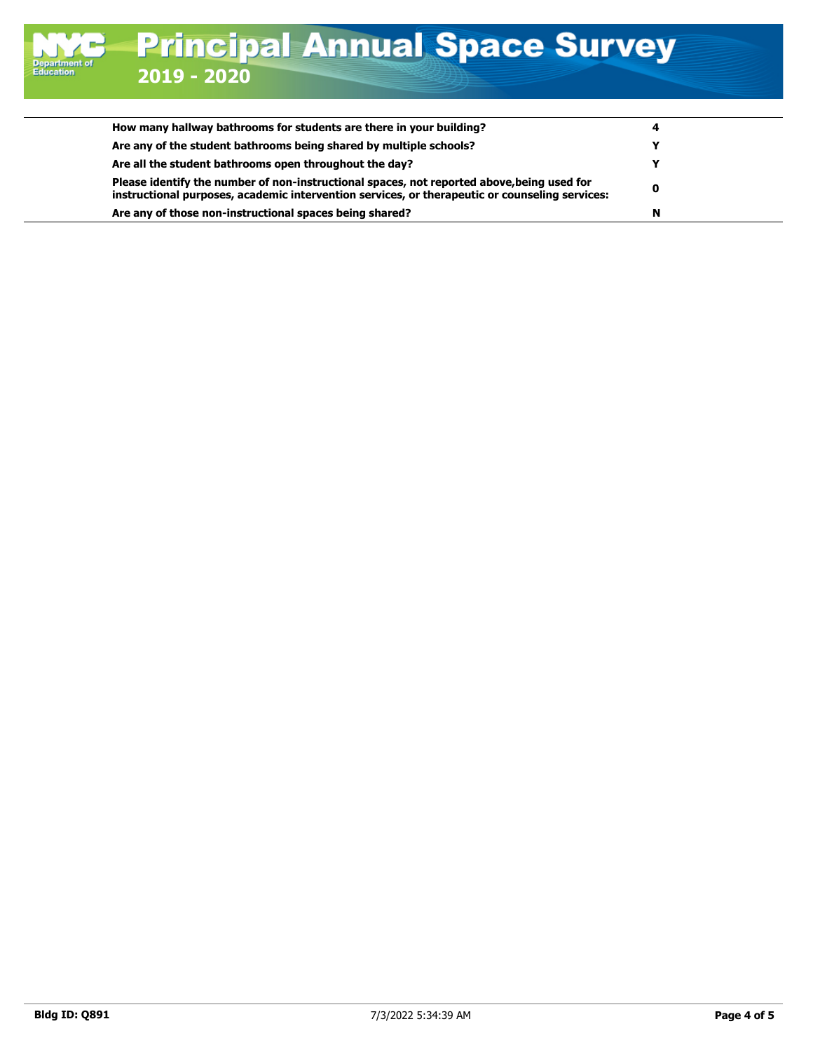| How many hallway bathrooms for students are there in your building?                                                                                                                          | 4 |
|----------------------------------------------------------------------------------------------------------------------------------------------------------------------------------------------|---|
| Are any of the student bathrooms being shared by multiple schools?                                                                                                                           |   |
| Are all the student bathrooms open throughout the day?                                                                                                                                       |   |
| Please identify the number of non-instructional spaces, not reported above, being used for<br>instructional purposes, academic intervention services, or therapeutic or counseling services: | 0 |
| Are any of those non-instructional spaces being shared?                                                                                                                                      | N |